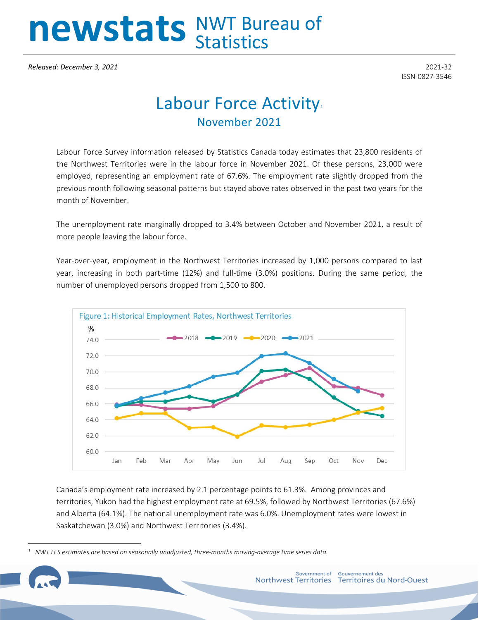## newstats NWT Bureau of

*Released: December 3, 2021* 2021-32

ISSN-0827-3546

## Labour Force Activity. November 2021

Labour Force Survey information released by Statistics Canada today estimates that 23,800 residents of the Northwest Territories were in the labour force in November 2021. Of these persons, 23,000 were employed, representing an employment rate of 67.6%. The employment rate slightly dropped from the previous month following seasonal patterns but stayed above rates observed in the past two years for the month of November.

The unemployment rate marginally dropped to 3.4% between October and November 2021, a result of more people leaving the labour force.

Year-over-year, employment in the Northwest Territories increased by 1,000 persons compared to last year, increasing in both part-time (12%) and full-time (3.0%) positions. During the same period, the number of unemployed persons dropped from 1,500 to 800.



Canada's employment rate increased by 2.1 percentage points to 61.3%. Among provinces and territories, Yukon had the highest employment rate at 69.5%, followed by Northwest Territories (67.6%) and Alberta (64.1%). The national unemployment rate was 6.0%. Unemployment rates were lowest in Saskatchewan (3.0%) and Northwest Territories (3.4%).

<span id="page-0-0"></span>*<sup>1</sup> NWT LFS estimates are based on seasonally unadjusted, three-months moving-average time series data.*

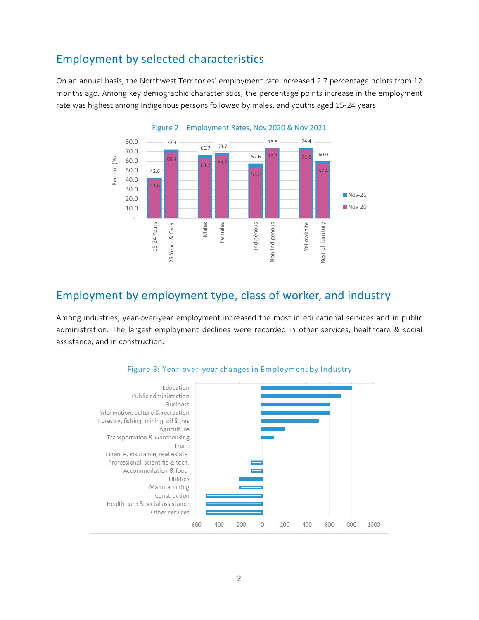## Employment by selected characteristics

On an annual basis, the Northwest Territories' employment rate increased 2.7 percentage points from 12 months ago. Among key demographic characteristics, the percentage points increase in the employment rate was highest among Indigenous persons followed by males, and youths aged 15-24 years.



Employment by employment type, class of worker, and industry

Among industries, year-over-year employment increased the most in educational services and in public administration. The largest employment declines were recorded in other services, healthcare & social assistance, and in construction.